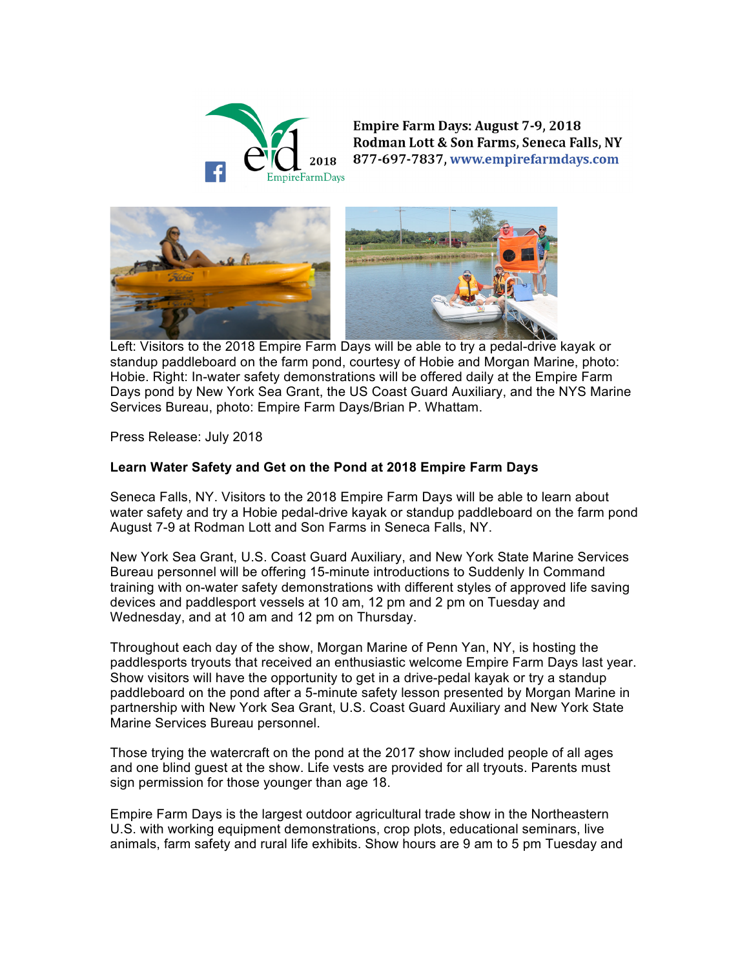

**Empire Farm Days: August 7-9, 2018** Rodman Lott & Son Farms, Seneca Falls, NY 877-697-7837, www.empirefarmdays.com



 Left: Visitors to the 2018 Empire Farm Days will be able to try a pedal-drive kayak or standup paddleboard on the farm pond, courtesy of Hobie and Morgan Marine, photo: Hobie. Right: In-water safety demonstrations will be offered daily at the Empire Farm Days pond by New York Sea Grant, the US Coast Guard Auxiliary, and the NYS Marine Services Bureau, photo: Empire Farm Days/Brian P. Whattam.

Press Release: July 2018

## **Learn Water Safety and Get on the Pond at 2018 Empire Farm Days**

Seneca Falls, NY. Visitors to the 2018 Empire Farm Days will be able to learn about water safety and try a Hobie pedal-drive kayak or standup paddleboard on the farm pond August 7-9 at Rodman Lott and Son Farms in Seneca Falls, NY.

New York Sea Grant, U.S. Coast Guard Auxiliary, and New York State Marine Services Bureau personnel will be offering 15-minute introductions to Suddenly In Command training with on-water safety demonstrations with different styles of approved life saving devices and paddlesport vessels at 10 am, 12 pm and 2 pm on Tuesday and Wednesday, and at 10 am and 12 pm on Thursday.

Throughout each day of the show, Morgan Marine of Penn Yan, NY, is hosting the paddlesports tryouts that received an enthusiastic welcome Empire Farm Days last year. Show visitors will have the opportunity to get in a drive-pedal kayak or try a standup paddleboard on the pond after a 5-minute safety lesson presented by Morgan Marine in partnership with New York Sea Grant, U.S. Coast Guard Auxiliary and New York State Marine Services Bureau personnel.

Those trying the watercraft on the pond at the 2017 show included people of all ages and one blind guest at the show. Life vests are provided for all tryouts. Parents must sign permission for those younger than age 18.

Empire Farm Days is the largest outdoor agricultural trade show in the Northeastern U.S. with working equipment demonstrations, crop plots, educational seminars, live animals, farm safety and rural life exhibits. Show hours are 9 am to 5 pm Tuesday and